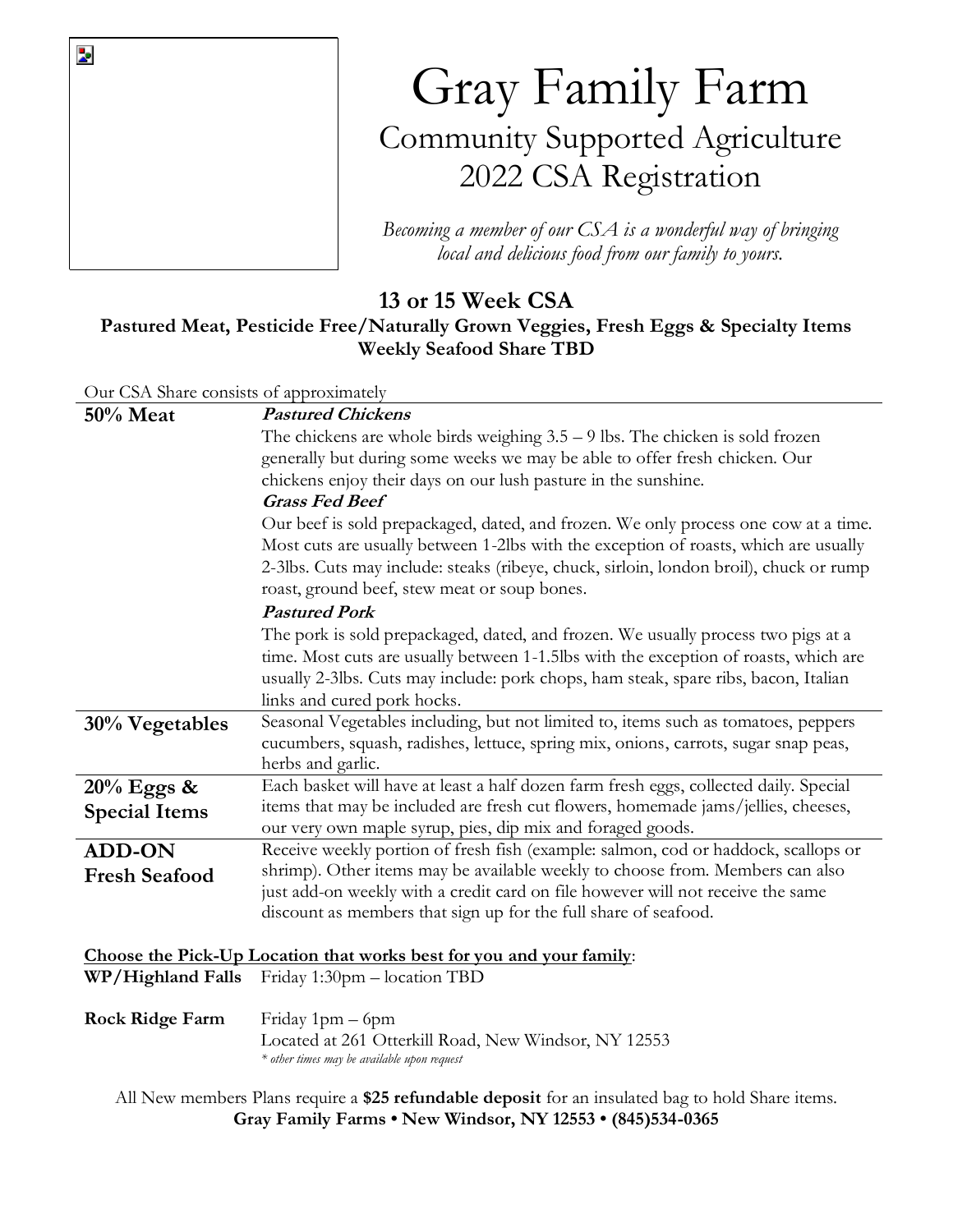

*Becoming a member of our CSA is a wonderful way of bringing local and delicious food from our family to yours.*

## **13 or 15 Week CSA**

## **Pastured Meat, Pesticide Free/Naturally Grown Veggies, Fresh Eggs & Specialty Items Weekly Seafood Share TBD**

|                                         | WEEKIY SCALOUG SHALE TIDD                                                                                                                    |  |  |  |  |  |  |  |
|-----------------------------------------|----------------------------------------------------------------------------------------------------------------------------------------------|--|--|--|--|--|--|--|
| Our CSA Share consists of approximately |                                                                                                                                              |  |  |  |  |  |  |  |
| <b>50% Meat</b>                         | <b>Pastured Chickens</b>                                                                                                                     |  |  |  |  |  |  |  |
|                                         | The chickens are whole birds weighing $3.5 - 9$ lbs. The chicken is sold frozen                                                              |  |  |  |  |  |  |  |
|                                         | generally but during some weeks we may be able to offer fresh chicken. Our<br>chickens enjoy their days on our lush pasture in the sunshine. |  |  |  |  |  |  |  |
|                                         |                                                                                                                                              |  |  |  |  |  |  |  |
|                                         | <b>Grass Fed Beef</b>                                                                                                                        |  |  |  |  |  |  |  |
|                                         | Our beef is sold prepackaged, dated, and frozen. We only process one cow at a time.                                                          |  |  |  |  |  |  |  |
|                                         | Most cuts are usually between 1-2lbs with the exception of roasts, which are usually                                                         |  |  |  |  |  |  |  |
|                                         | 2-3lbs. Cuts may include: steaks (ribeye, chuck, sirloin, london broil), chuck or rump<br>roast, ground beef, stew meat or soup bones.       |  |  |  |  |  |  |  |
|                                         | <b>Pastured Pork</b>                                                                                                                         |  |  |  |  |  |  |  |
|                                         | The pork is sold prepackaged, dated, and frozen. We usually process two pigs at a                                                            |  |  |  |  |  |  |  |
|                                         | time. Most cuts are usually between 1-1.5lbs with the exception of roasts, which are                                                         |  |  |  |  |  |  |  |
|                                         | usually 2-3lbs. Cuts may include: pork chops, ham steak, spare ribs, bacon, Italian                                                          |  |  |  |  |  |  |  |
|                                         | links and cured pork hocks.                                                                                                                  |  |  |  |  |  |  |  |
| 30% Vegetables                          | Seasonal Vegetables including, but not limited to, items such as tomatoes, peppers                                                           |  |  |  |  |  |  |  |
|                                         | cucumbers, squash, radishes, lettuce, spring mix, onions, carrots, sugar snap peas,                                                          |  |  |  |  |  |  |  |
|                                         | herbs and garlic.                                                                                                                            |  |  |  |  |  |  |  |
| 20% Eggs &                              | Each basket will have at least a half dozen farm fresh eggs, collected daily. Special                                                        |  |  |  |  |  |  |  |
| <b>Special Items</b>                    | items that may be included are fresh cut flowers, homemade jams/jellies, cheeses,                                                            |  |  |  |  |  |  |  |
|                                         | our very own maple syrup, pies, dip mix and foraged goods.                                                                                   |  |  |  |  |  |  |  |
| <b>ADD-ON</b>                           | Receive weekly portion of fresh fish (example: salmon, cod or haddock, scallops or                                                           |  |  |  |  |  |  |  |
| <b>Fresh Seafood</b>                    | shrimp). Other items may be available weekly to choose from. Members can also                                                                |  |  |  |  |  |  |  |
|                                         | just add-on weekly with a credit card on file however will not receive the same                                                              |  |  |  |  |  |  |  |
|                                         | discount as members that sign up for the full share of seafood.                                                                              |  |  |  |  |  |  |  |
|                                         |                                                                                                                                              |  |  |  |  |  |  |  |
|                                         | Choose the Pick-Up Location that works best for you and your family:                                                                         |  |  |  |  |  |  |  |
| WP/Highland Falls                       | Friday 1:30pm – location TBD                                                                                                                 |  |  |  |  |  |  |  |

**Rock Ridge Farm** Friday 1pm – 6pm Located at 261 Otterkill Road, New Windsor, NY 12553 *\* other times may be available upon request*

All New members Plans require a **\$25 refundable deposit** for an insulated bag to hold Share items. **Gray Family Farms • New Windsor, NY 12553 • (845)534-0365**

 $\overline{\mathbf{z}}$